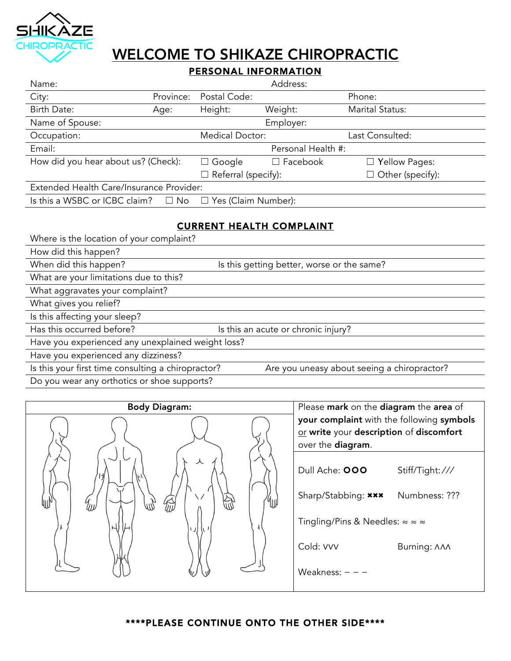

# WELCOME TO SHIKAZE CHIROPRACTIC

## PERSONAL INFORMATION

| Name:                                                                 |                        |                            | Address:        |                         |  |
|-----------------------------------------------------------------------|------------------------|----------------------------|-----------------|-------------------------|--|
| City:                                                                 | Province:              | Postal Code:               |                 | Phone:                  |  |
| Birth Date:                                                           | Age:                   | Height:                    | Weight:         | Marital Status:         |  |
| Name of Spouse:                                                       |                        |                            | Employer:       |                         |  |
| Occupation:                                                           | <b>Medical Doctor:</b> |                            |                 | Last Consulted:         |  |
| Email:                                                                |                        | Personal Health #:         |                 |                         |  |
| How did you hear about us? (Check):                                   |                        | $\Box$ Google              | $\Box$ Facebook | $\Box$ Yellow Pages:    |  |
|                                                                       |                        | $\Box$ Referral (specify): |                 | $\Box$ Other (specify): |  |
| Extended Health Care/Insurance Provider:                              |                        |                            |                 |                         |  |
| Is this a WSBC or ICBC claim? $\Box$ No<br>$\Box$ Yes (Claim Number): |                        |                            |                 |                         |  |

### CURRENT HEALTH COMPLAINT

Where is the location of your complaint?

How did this happen?

When did this happen? In this getting better, worse or the same?

What are your limitations due to this?

What aggravates your complaint?

What gives you relief?

Is this affecting your sleep?

Has this occurred before? It is this an acute or chronic injury?

Have you experienced any unexplained weight loss?

Have you experienced any dizziness?

Is this your first time consulting a chiropractor? Are you uneasy about seeing a chiropractor?

Do you wear any orthotics or shoe supports?



your complaint with the following symbols or write your description of discomfort over the diagram.

Dull Ache: 000 Stiff/Tight: ///

Sharp/Stabbing: \*\*\* Numbness: ???

Tingling/Pins & Needles: ≈ ≈ ≈

Weakness: - - -

### \*\*\*\*PLEASE CONTINUE ONTO THE OTHER SIDE\*\*\*\*